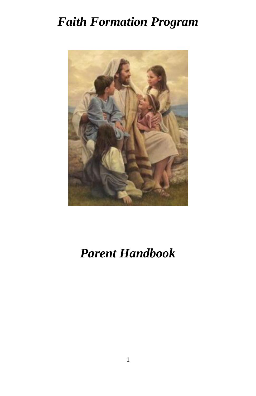# *Faith Formation Program*



# *Parent Handbook*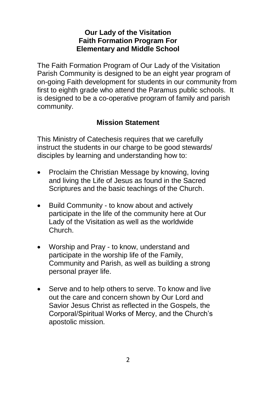#### **Our Lady of the Visitation Faith Formation Program For Elementary and Middle School**

The Faith Formation Program of Our Lady of the Visitation Parish Community is designed to be an eight year program of on-going Faith development for students in our community from first to eighth grade who attend the Paramus public schools. It is designed to be a co-operative program of family and parish community.

#### **Mission Statement**

This Ministry of Catechesis requires that we carefully instruct the students in our charge to be good stewards/ disciples by learning and understanding how to:

- Proclaim the Christian Message by knowing, loving and living the Life of Jesus as found in the Sacred Scriptures and the basic teachings of the Church.
- Build Community to know about and actively participate in the life of the community here at Our Lady of the Visitation as well as the worldwide Church.
- Worship and Pray to know, understand and participate in the worship life of the Family, Community and Parish, as well as building a strong personal prayer life.
- Serve and to help others to serve. To know and live out the care and concern shown by Our Lord and Savior Jesus Christ as reflected in the Gospels, the Corporal/Spiritual Works of Mercy, and the Church's apostolic mission.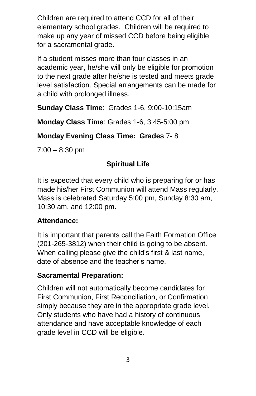Children are required to attend CCD for all of their elementary school grades. Children will be required to make up any year of missed CCD before being eligible for a sacramental grade.

If a student misses more than four classes in an academic year, he/she will only be eligible for promotion to the next grade after he/she is tested and meets grade level satisfaction. Special arrangements can be made for a child with prolonged illness.

**Sunday Class Time**: Grades 1-6, 9:00-10:15am

**Monday Class Time**: Grades 1-6, 3:45-5:00 pm

**Monday Evening Class Time: Grades** 7- 8

 $7:00 - 8:30$  pm

## **Spiritual Life**

It is expected that every child who is preparing for or has made his/her First Communion will attend Mass regularly. Mass is celebrated Saturday 5:00 pm, Sunday 8:30 am, 10:30 am, and 12:00 pm**.** 

#### **Attendance:**

It is important that parents call the Faith Formation Office (201-265-3812) when their child is going to be absent. When calling please give the child's first & last name, date of absence and the teacher's name.

#### **Sacramental Preparation:**

Children will not automatically become candidates for First Communion, First Reconciliation, or Confirmation simply because they are in the appropriate grade level. Only students who have had a history of continuous attendance and have acceptable knowledge of each grade level in CCD will be eligible.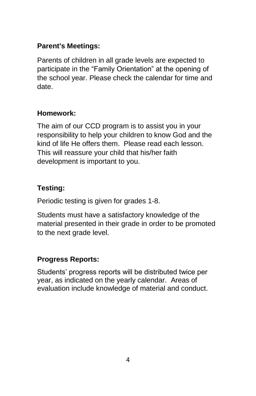## **Parent's Meetings:**

Parents of children in all grade levels are expected to participate in the "Family Orientation" at the opening of the school year. Please check the calendar for time and date.

#### **Homework:**

The aim of our CCD program is to assist you in your responsibility to help your children to know God and the kind of life He offers them. Please read each lesson. This will reassure your child that his/her faith development is important to you.

## **Testing:**

Periodic testing is given for grades 1-8.

Students must have a satisfactory knowledge of the material presented in their grade in order to be promoted to the next grade level.

#### **Progress Reports:**

Students' progress reports will be distributed twice per year, as indicated on the yearly calendar. Areas of evaluation include knowledge of material and conduct.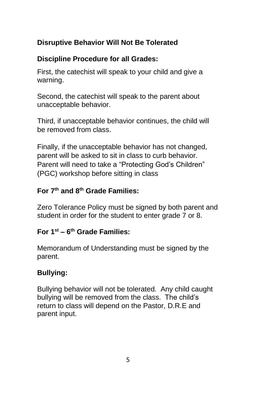# **Disruptive Behavior Will Not Be Tolerated**

## **Discipline Procedure for all Grades:**

First, the catechist will speak to your child and give a warning.

Second, the catechist will speak to the parent about unacceptable behavior.

Third, if unacceptable behavior continues, the child will be removed from class.

Finally, if the unacceptable behavior has not changed, parent will be asked to sit in class to curb behavior. Parent will need to take a "Protecting God's Children" (PGC) workshop before sitting in class

## **For 7th and 8th Grade Families:**

Zero Tolerance Policy must be signed by both parent and student in order for the student to enter grade 7 or 8.

#### **For 1 st – 6 th Grade Families:**

Memorandum of Understanding must be signed by the parent.

## **Bullying:**

Bullying behavior will not be tolerated. Any child caught bullying will be removed from the class. The child's return to class will depend on the Pastor, D.R.E and parent input.